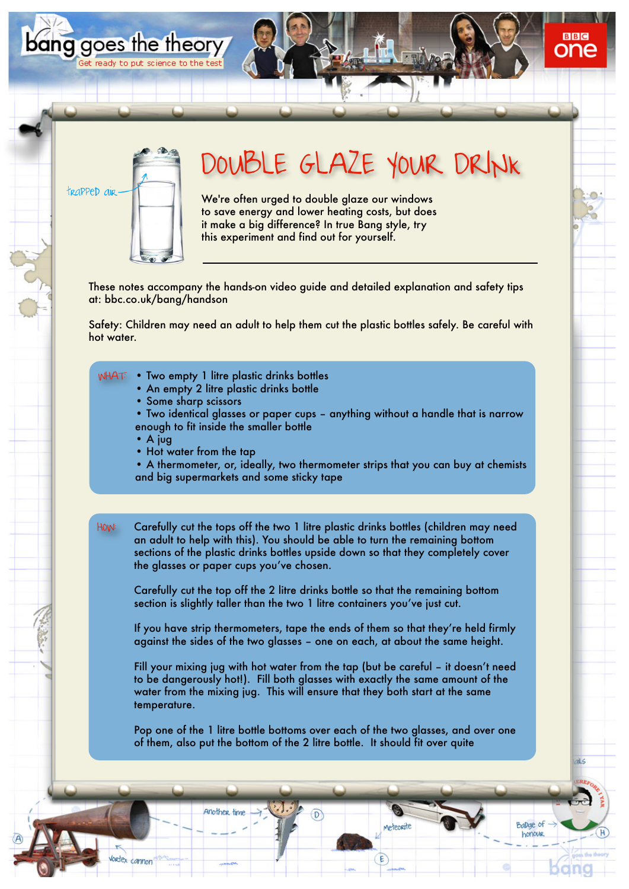

bang goes the theory

Get ready to put science to the test

## DOUBLE GLAZE YOUR DRINK

We're often urged to double glaze our windows to save energy and lower heating costs, but does it make a big difference? In true Bang style, try this experiment and find out for yourself.

These notes accompany the hands-on video guide and detailed explanation and safety tips at: bbc.co.uk/bang/handson

Safety: Children may need an adult to help them cut the plastic bottles safely. Be careful with hot water.

- Two empty 1 litre plastic drinks bottles WHAT:
	- An empty 2 litre plastic drinks bottle

Another time

lortex cannon

- Some sharp scissors
- Two identical glasses or paper cups anything without a handle that is narrow enough to fit inside the smaller bottle
- A jug
- Hot water from the tap
- A thermometer, or, ideally, two thermometer strips that you can buy at chemists and big supermarkets and some sticky tape
- HOW: Carefully cut the tops off the two 1 litre plastic drinks bottles (children may need an adult to help with this). You should be able to turn the remaining bottom sections of the plastic drinks bottles upside down so that they completely cover the glasses or paper cups you've chosen.

Carefully cut the top off the 2 litre drinks bottle so that the remaining bottom section is slightly taller than the two 1 litre containers you've just cut.

If you have strip thermometers, tape the ends of them so that they're held firmly against the sides of the two glasses – one on each, at about the same height.

Fill your mixing jug with hot water from the tap (but be careful – it doesn't need to be dangerously hot!). Fill both glasses with exactly the same amount of the water from the mixing jug. This will ensure that they both start at the same temperature.

Pop one of the 1 litre bottle bottoms over each of the two glasses, and over one of them, also put the bottom of the 2 litre bottle. It should fit over quite

Meteorite

Ballag of

honour